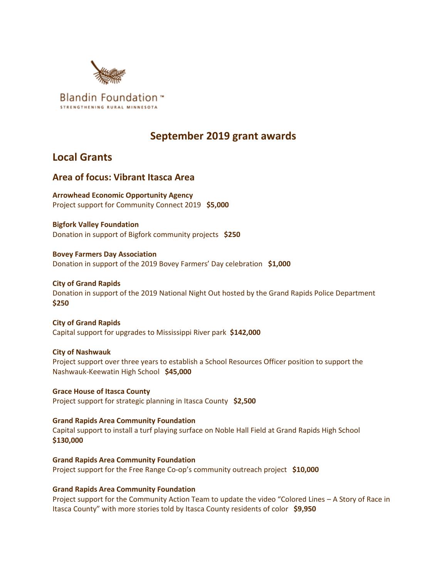

# **September 2019 grant awards**

## **Local Grants**

## **Area of focus: Vibrant Itasca Area**

**Arrowhead Economic Opportunity Agency** Project support for Community Connect 2019 **\$5,000**

**Bigfork Valley Foundation** Donation in support of Bigfork community projects **\$250**

**Bovey Farmers Day Association** Donation in support of the 2019 Bovey Farmers' Day celebration **\$1,000**

**City of Grand Rapids** Donation in support of the 2019 National Night Out hosted by the Grand Rapids Police Department **\$250**

**City of Grand Rapids** Capital support for upgrades to Mississippi River park **\$142,000**

**City of Nashwauk** Project support over three years to establish a School Resources Officer position to support the Nashwauk-Keewatin High School **\$45,000**

**Grace House of Itasca County** Project support for strategic planning in Itasca County **\$2,500**

**Grand Rapids Area Community Foundation** Capital support to install a turf playing surface on Noble Hall Field at Grand Rapids High School **\$130,000**

**Grand Rapids Area Community Foundation** Project support for the Free Range Co-op's community outreach project **\$10,000**

**Grand Rapids Area Community Foundation**

Project support for the Community Action Team to update the video "Colored Lines – A Story of Race in Itasca County" with more stories told by Itasca County residents of color **\$9,950**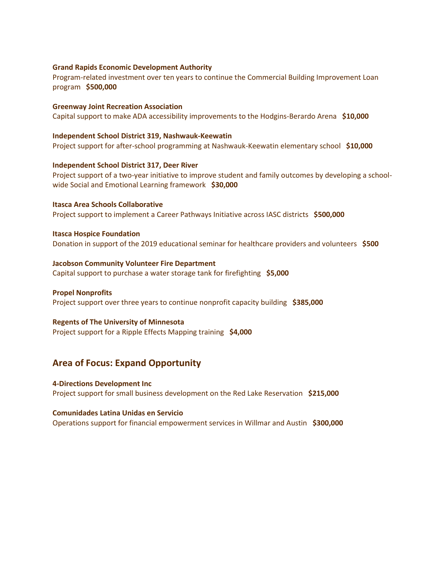#### **Grand Rapids Economic Development Authority**

Program-related investment over ten years to continue the Commercial Building Improvement Loan program **\$500,000**

**Greenway Joint Recreation Association** Capital support to make ADA accessibility improvements to the Hodgins-Berardo Arena **\$10,000**

#### **Independent School District 319, Nashwauk-Keewatin**

Project support for after-school programming at Nashwauk-Keewatin elementary school **\$10,000**

#### **Independent School District 317, Deer River**

Project support of a two-year initiative to improve student and family outcomes by developing a schoolwide Social and Emotional Learning framework **\$30,000**

**Itasca Area Schools Collaborative** Project support to implement a Career Pathways Initiative across IASC districts **\$500,000**

**Itasca Hospice Foundation** Donation in support of the 2019 educational seminar for healthcare providers and volunteers **\$500**

**Jacobson Community Volunteer Fire Department** Capital support to purchase a water storage tank for firefighting **\$5,000**

#### **Propel Nonprofits**

Project support over three years to continue nonprofit capacity building **\$385,000**

#### **Regents of The University of Minnesota**

Project support for a Ripple Effects Mapping training **\$4,000**

### **Area of Focus: Expand Opportunity**

**4-Directions Development Inc** Project support for small business development on the Red Lake Reservation **\$215,000**

#### **Comunidades Latina Unidas en Servicio**

Operations support for financial empowerment services in Willmar and Austin **\$300,000**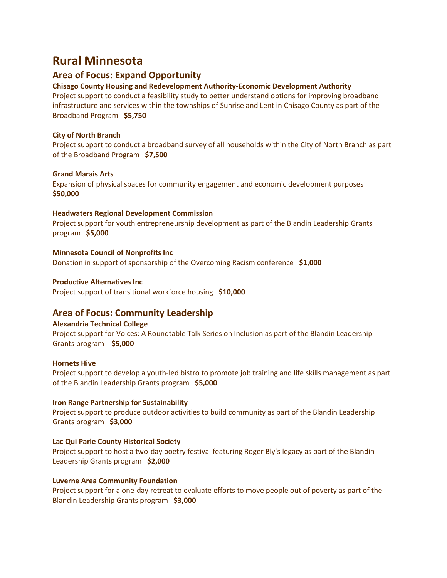# **Rural Minnesota**

## **Area of Focus: Expand Opportunity**

#### **Chisago County Housing and Redevelopment Authority-Economic Development Authority**

Project support to conduct a feasibility study to better understand options for improving broadband infrastructure and services within the townships of Sunrise and Lent in Chisago County as part of the Broadband Program **\$5,750**

#### **City of North Branch**

Project support to conduct a broadband survey of all households within the City of North Branch as part of the Broadband Program **\$7,500**

#### **Grand Marais Arts**

Expansion of physical spaces for community engagement and economic development purposes **\$50,000**

#### **Headwaters Regional Development Commission**

Project support for youth entrepreneurship development as part of the Blandin Leadership Grants program **\$5,000**

#### **Minnesota Council of Nonprofits Inc**

Donation in support of sponsorship of the Overcoming Racism conference **\$1,000**

#### **Productive Alternatives Inc**

Project support of transitional workforce housing **\$10,000**

#### **Area of Focus: Community Leadership**

#### **Alexandria Technical College**

Project support for Voices: A Roundtable Talk Series on Inclusion as part of the Blandin Leadership Grants program **\$5,000**

#### **Hornets Hive**

Project support to develop a youth-led bistro to promote job training and life skills management as part of the Blandin Leadership Grants program **\$5,000**

#### **Iron Range Partnership for Sustainability**

Project support to produce outdoor activities to build community as part of the Blandin Leadership Grants program **\$3,000**

#### **Lac Qui Parle County Historical Society**

Project support to host a two-day poetry festival featuring Roger Bly's legacy as part of the Blandin Leadership Grants program **\$2,000**

#### **Luverne Area Community Foundation**

Project support for a one-day retreat to evaluate efforts to move people out of poverty as part of the Blandin Leadership Grants program **\$3,000**